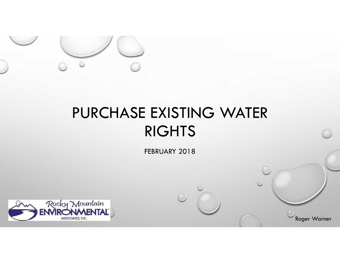

# PURCHASE EXISTING WATER RIGHTS

FEBRUARY 2018

Roger Warner

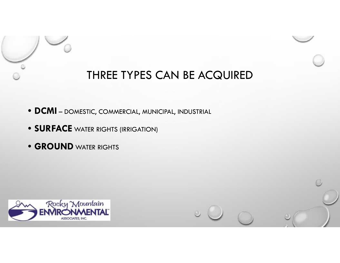

## THREE TYPES CAN BE ACQUIRED

- **DCMI** DOMESTIC, COMMERCIAL, MUNICIPAL, INDUSTRIAL
- **SURFACE** WATER RIGHTS (IRRIGATION)
- **GROUND** WATER RIGHTS



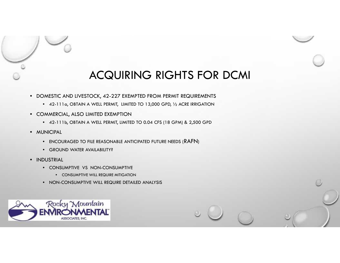

#### ACQUIRING RIGHTS FOR DCMI

- DOMESTIC AND LIVESTOCK, 42-227 EXEMPTED FROM PERMIT REQUIREMENTS
	- 42-111a, OBTAIN A WELL PERMIT, LIMITED TO 13,000 GPD, ½ ACRE IRRIGATION
- COMMERCIAL, ALSO LIMITED EXEMPTION
	- 42-111b, OBTAIN A WELL PERMIT, LIMITED TO 0.04 CFS (18 GPM) & 2,500 GPD •
- MUNICIPAL
	- ENCOURAGED TO FILE REASONABLE ANTICIPATED FUTURE NEEDS (RAFN)
	- GROUND WATER AVAILABILITY?
- INDUSTRIAL
	- CONSUMPTIVE VS NON-CONSUMPTIVE CONSUMPTIVE VS NON-CONSUMPTIVE
		- CONSUMPTIVE WILL REQUIRE MITIGATION
	- NON-CONSUMPTIVE WILL REQUIRE DETAILED ANALYSIS •

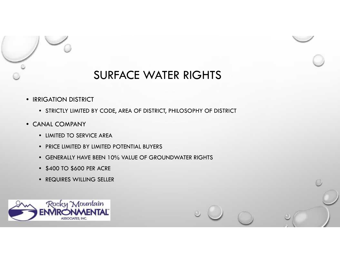

#### SURFACE WATER RIGHTS

- IRRIGATION DISTRICT
	- STRICTLY LIMITED BY CODE, AREA OF DISTRICT, PHILOSOPHY OF DISTRICT •
- CANAL COMPANY
	- LIMITED TO SERVICE AREA
	- PRICE LIMITED BY LIMITED POTENTIAL BUYERS
	- GENERALLY HAVE BEEN 10% VALUE OF GROUNDWATER RIGHTS
	- \$400 TO \$600 PER ACRE
	- REQUIRES WILLING SELLER

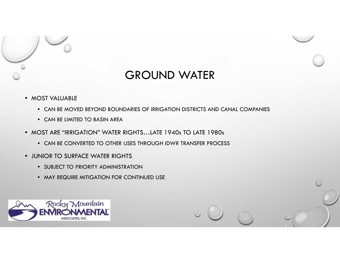

#### GROUND WATER

- MOST VALUABLE •
	- CAN BE MOVED BEYOND BOUNDARIES OF IRRIGATION DISTRICTS AND CANAL COMPANIES
	- CAN BE LIMITED TO BASIN AREA
- MOST ARE "IRRIGATION" WATER RIGHTS…LATE 1940s TO LATE 1980s
	- CAN BE CONVERTED TO OTHER USES THROUGH IDWR TRANSFER PROCESS •
- JUNIOR TO SURFACE WATER RIGHTS
	- SUBJECT TO PRIORITY ADMINISTRATION SUBJECT TO PRIORITY ADMINISTRATION
	- MAY REQUIRE MITIGATION FOR CONTINUED USE

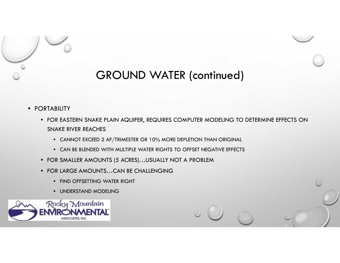

### GROUND WATER (continued)

- PORTABILITY
	- FOR EASTERN SNAKE PLAIN AQUIFER, REQUIRES COMPUTER MODELING TO DETERMINE EFFECTS ON SNAKE RIVER REACHES
		- CANNOT EXCEED 2 AF/TRIMESTER OR 10% MORE DEPLETION THAN ORIGINAL
		- CAN BE BLENDED WITH MULTIPLE WATER RIGHTS TO OFFSET NEGATIVE EFFECTS
	- FOR SMALLER AMOUNTS (5 ACRES)…USUALLY NOT A PROBLEM
	- FOR LARGE AMOUNTS…CAN BE CHALLENGING
		- FIND OFFSETTING WATER RIGHT FIND OFFSETTING WATER RIGHT
		- UNDERSTAND MODELING

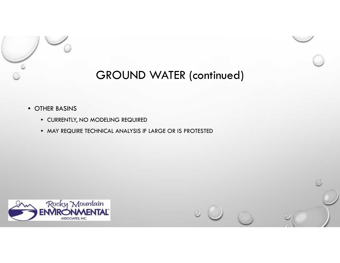

## GROUND WATER (continued)

- OTHER BASINS
	- CURRENTLY, NO MODELING REQUIRED
	- MAY REQUIRE TECHNICAL ANALYSIS IF LARGE OR IS PROTESTED



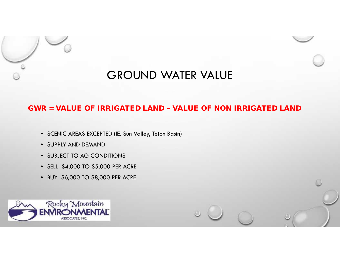

#### GROUND WATER VALUE

#### **GWR = VALUE OF IRRIGATED LAND – VALUE OF NON IRRIGATED LAND**

- SCENIC AREAS EXCEPTED (IE. Sun Valley, Teton Basin) SCENIC AREAS EXCEPTED (IE.Sun Valley, Teton Basin)
- SUPPLY AND DEMAND
- SUBJECT TO AG CONDITIONS
- SELL \$4,000 TO \$5,000 PER ACRE SUBJECT TO AG CONDITIONS<br>SELL \$4,000 TO \$5,000 PER ACRE<br>BUY \$6,000 TO \$8,000 PER ACRE
- BUY \$6,000 TO \$8,000 PER ACRE